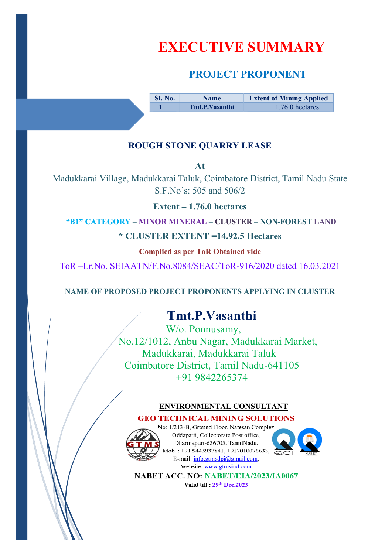# **EXECUTIVE SUMMARY**

# **PROJECT PROPONENT**

**Sl. No.** Name **Extent of Mining Applied 1 1 1.76.0** hectares

## **ROUGH STONE QUARRY LEASE**

**At** 

Madukkarai Village, Madukkarai Taluk, Coimbatore District, Tamil Nadu State S.F.No's: 505 and 506/2

**Extent – 1.76.0 hectares** 

**"B1" CATEGORY – MINOR MINERAL – CLUSTER – NON-FOREST LAND**

**\* CLUSTER EXTENT =14.92.5 Hectares**

**Complied as per ToR Obtained vide** 

ToR –Lr.No. SEIAATN/F.No.8084/SEAC/ToR-916/2020 dated 16.03.2021

**NAME OF PROPOSED PROJECT PROPONENTS APPLYING IN CLUSTER** 

# **Tmt.P.Vasanthi**

W/o. Ponnusamy, No.12/1012, Anbu Nagar, Madukkarai Market, Madukkarai, Madukkarai Taluk Coimbatore District, Tamil Nadu-641105 +91 9842265374

## **ENVIRONMENTAL CONSULTANT**

## **GEO TECHNICAL MINING SOLUTIONS**



No: 1/213-B. Ground Floor, Natesan Compley Oddapatti, Collectorate Post office, Dharmapuri-636705. TamilNadu. Mob.: +91 9443937841, +917010076633, E-mail: info.gtmsdpi@gmail.com. Website: www.gtmsind.com



NABET ACC. NO: NABET/EIA/2023/IA0067 Valid till: 29th Dec.2023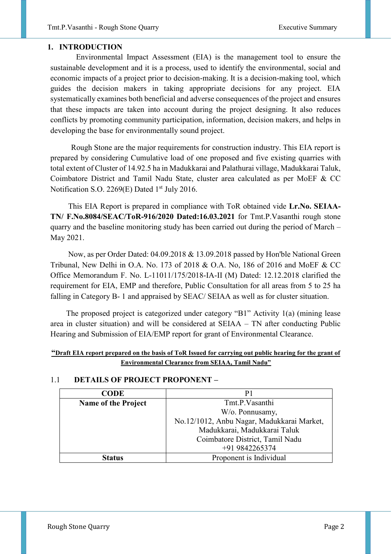## **1. INTRODUCTION**

 Environmental Impact Assessment (EIA) is the management tool to ensure the sustainable development and it is a process, used to identify the environmental, social and economic impacts of a project prior to decision-making. It is a decision-making tool, which guides the decision makers in taking appropriate decisions for any project. EIA systematically examines both beneficial and adverse consequences of the project and ensures that these impacts are taken into account during the project designing. It also reduces conflicts by promoting community participation, information, decision makers, and helps in developing the base for environmentally sound project.

 Rough Stone are the major requirements for construction industry. This EIA report is prepared by considering Cumulative load of one proposed and five existing quarries with total extent of Cluster of 14.92.5 ha in Madukkarai and Palathurai village, Madukkarai Taluk, Coimbatore District and Tamil Nadu State, cluster area calculated as per MoEF & CC Notification S.O. 2269(E) Dated 1<sup>st</sup> July 2016.

 This EIA Report is prepared in compliance with ToR obtained vide **Lr.No. SEIAA-TN/ F.No.8084/SEAC/ToR-916/2020 Dated:16.03.2021** for Tmt.P.Vasanthi rough stone quarry and the baseline monitoring study has been carried out during the period of March – May 2021.

 Now, as per Order Dated: 04.09.2018 & 13.09.2018 passed by Hon'ble National Green Tribunal, New Delhi in O.A. No. 173 of 2018 & O.A. No, 186 of 2016 and MoEF & CC Office Memorandum F. No. L-11011/175/2018-IA-II (M) Dated: 12.12.2018 clarified the requirement for EIA, EMP and therefore, Public Consultation for all areas from 5 to 25 ha falling in Category B- 1 and appraised by SEAC/ SEIAA as well as for cluster situation.

 The proposed project is categorized under category "B1" Activity 1(a) (mining lease area in cluster situation) and will be considered at SEIAA – TN after conducting Public Hearing and Submission of EIA/EMP report for grant of Environmental Clearance.

#### **"Draft EIA report prepared on the basis of ToR Issued for carrying out public hearing for the grant of Environmental Clearance from SEIAA, Tamil Nadu"**

| <b>CODE</b>                | P1                                         |  |  |
|----------------------------|--------------------------------------------|--|--|
| <b>Name of the Project</b> | Tmt.P.Vasanthi                             |  |  |
|                            | W/o. Ponnusamy,                            |  |  |
|                            | No.12/1012, Anbu Nagar, Madukkarai Market, |  |  |
|                            | Madukkarai, Madukkarai Taluk               |  |  |
|                            | Coimbatore District, Tamil Nadu            |  |  |
|                            | +91 9842265374                             |  |  |
| tatus.                     | Proponent is Individual                    |  |  |

#### 1.1 **DETAILS OF PROJECT PROPONENT –**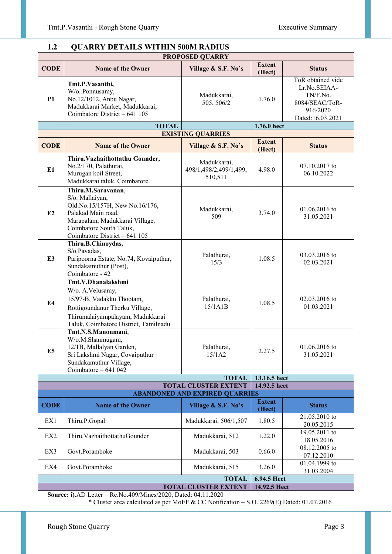#### **PROPOSED QUARRY CODE Name of the Owner Village & S.F. No's Extent (Hect) Status P1 Tmt.P.Vasanthi,**  W/o. Ponnusamy, No.12/1012, Anbu Nagar, Madukkarai Market, Madukkarai, Coimbatore District – 641 105 Madukkarai,  $\begin{array}{c|c}\n505, 506/2\n\end{array}$  1.76.0 ToR obtained vide Lr.No.SEIAA-TN/F.No. 8084/SEAC/ToR-916/2020 Dated:16.03.2021 **TOTAL** 1.76.0 hect **EXISTING QUARRIES CODE** Name of the Owner Village & S.F. No's Extent **(Hect) Status E1 Thiru.Vazhaithottathu Gounder,**  No.2/170, Palathurai, Murugan koil Street, Madukkarai taluk, Coimbatore. Madukkarai, 498/1,498/2,499/1,499, 510,511 4.98.0  $07.10.2017$  to 06.10.2022 **E2 Thiru.M.Saravanan**, S/o. Mallaiyan, Old.No.15/157H, New No.16/176, Palakad Main road, Marapalam, Madukkarai Village, Coimbatore South Taluk, Coimbatore District – 641 105 Madukkarai, ukkarai, 3.74.0 01.06.2016 to 509 31.05.2021 **E3 Thiru.B.Chinoydas,**  S/o.Pavadas, Paripoorna Estate, No.74, Kovaiputhur, Sundakamuthur (Post), Coimbatore - 42 Palathurai,  $\begin{array}{c|c}\n 1.08.5 \end{array}$  1.08.5 03.03.2016 to 15/3 02.03.2021 **E4 Tmt.V.Dhanalakshmi**  W/o. A.Velusamy, 15/97-B, Vadakku Thootam, Rottigoundanur Therku Village, Thirumalaiyampalayam, Madukkarai Taluk, Coimbatore District, Tamilnadu Palathurai,<br>15/1A1B  $1.08.5$  02.03.2016 to 01.03.2021 **E5 Tmt.N.S.Manonmani**, W/o.M.Shanmugam, 12/1B, Mallalyan Garden, Sri Lakshmi Nagar, Covaiputhur Sundakamuthur Village, Coimbatore – 641 042 Palathurai, alathurai,  $\begin{array}{|c|c|c|c|c|} \hline 15/1A2 & 2.27.5 & 31.05.2021 \hline \end{array}$ 31.05.2021 **TOTAL 13.16.5 hect TOTAL CLUSTER EXTENT 14.92.5 hect ABANDONED AND EXPIRED QUARRIES CODE** Name of the Owner Village & S.F. No<sup>'s</sup> Extent **(Hect) Status**  EX1 Thiru.P.Gopal Madukkarai, 506/1,507 1.80.5 21.05.2010 to 20.05.2016 20.05.2015 EX2 Thiru.VazhaithottathuGounder Madukkarai, 512 1.22.0 19.05.2011 to 18.05.2016 EX3 Govt.Poramboke Madukkarai, 503 0.66.0 08.12.2005 to 07.12.2010 EX4 Govt.Poramboke Madukkarai, 515 3.26.0 01.04.1999 to 31.03.2004 **TOTAL** 6.94.5 Hect **TOTAL CLUSTER EXTENT 14.92.5 Hect Source: i).**AD Letter – Rc.No.409/Mines/2020, Dated: 04.11.2020

## **1.2 QUARRY DETAILS WITHIN 500M RADIUS**

\* Cluster area calculated as per MoEF & CC Notification – S.O. 2269(E) Dated: 01.07.2016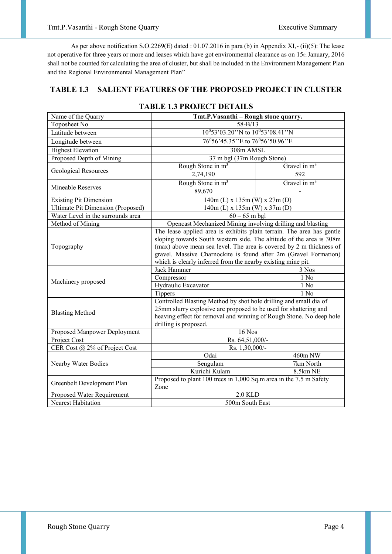As per above notification S.O.2269(E) dated : 01.07.2016 in para (b) in Appendix XI,- (ii)(5): The lease not operative for three years or more and leases which have got environmental clearance as on 15th January, 2016 shall not be counted for calculating the area of cluster, but shall be included in the Environment Management Plan and the Regional Environmental Management Plan"

## **TABLE 1.3 SALIENT FEATURES OF THE PROPOSED PROJECT IN CLUSTER**

| Name of the Quarry                       | Tmt.P.Vasanthi - Rough stone quarry.                                       |                |  |  |
|------------------------------------------|----------------------------------------------------------------------------|----------------|--|--|
| Toposheet No                             | $58 - B/13$                                                                |                |  |  |
| Latitude between                         | 10°53'03.20"N to 10°53'08.41"N                                             |                |  |  |
| Longitude between                        | 76°56'45.35"E to 76°56'50.96"E                                             |                |  |  |
| <b>Highest Elevation</b>                 | 308m AMSL                                                                  |                |  |  |
| Proposed Depth of Mining                 | 37 m bgl (37m Rough Stone)                                                 |                |  |  |
|                                          | Rough Stone in $m^3$                                                       | Gravel in $m3$ |  |  |
| Geological Resources                     | 2,74,190                                                                   | 592            |  |  |
|                                          | Rough Stone in m <sup>3</sup>                                              | Gravel in $m3$ |  |  |
| Mineable Reserves                        | 89,670                                                                     |                |  |  |
| <b>Existing Pit Dimension</b>            | $\frac{140m}{140m}$ (L) x 135m (W) x 27m (D)                               |                |  |  |
| <b>Ultimate Pit Dimension (Proposed)</b> | $140m$ (L) x $135m$ (W) x $37m$ (D)                                        |                |  |  |
| Water Level in the surrounds area        | $60 - 65$ m bgl                                                            |                |  |  |
| Method of Mining                         | Opencast Mechanized Mining involving drilling and blasting                 |                |  |  |
|                                          | The lease applied area is exhibits plain terrain. The area has gentle      |                |  |  |
| Topography                               | sloping towards South western side. The altitude of the area is 308m       |                |  |  |
|                                          | (max) above mean sea level. The area is covered by 2 m thickness of        |                |  |  |
|                                          | gravel. Massive Charnockite is found after 2m (Gravel Formation)           |                |  |  |
|                                          | which is clearly inferred from the nearby existing mine pit.               |                |  |  |
|                                          | Jack Hammer                                                                | 3 Nos          |  |  |
| Machinery proposed                       | Compressor                                                                 | 1 No           |  |  |
|                                          | Hydraulic Excavator                                                        | 1 No           |  |  |
|                                          | Tippers                                                                    | $1$ No         |  |  |
|                                          | Controlled Blasting Method by shot hole drilling and small dia of          |                |  |  |
| <b>Blasting Method</b>                   | 25mm slurry explosive are proposed to be used for shattering and           |                |  |  |
|                                          | heaving effect for removal and winning of Rough Stone. No deep hole        |                |  |  |
|                                          | drilling is proposed.                                                      |                |  |  |
| Proposed Manpower Deployment             | $16$ Nos                                                                   |                |  |  |
| Project Cost                             | Rs. 64,51,000/-                                                            |                |  |  |
| CER Cost @ 2% of Project Cost            | Rs. 1,30,000/-                                                             |                |  |  |
|                                          | Odai                                                                       | 460m NW        |  |  |
| Nearby Water Bodies                      | Sengulam                                                                   | 7km North      |  |  |
|                                          | Kurichi Kulam                                                              | 8.5km NE       |  |  |
| Greenbelt Development Plan               | Proposed to plant 100 trees in 1,000 Sq.m area in the 7.5 m Safety<br>Zone |                |  |  |
| Proposed Water Requirement               | $2.0$ KLD                                                                  |                |  |  |
| <b>Nearest Habitation</b>                | 500m South East                                                            |                |  |  |

## **TABLE 1.3 PROJECT DETAILS**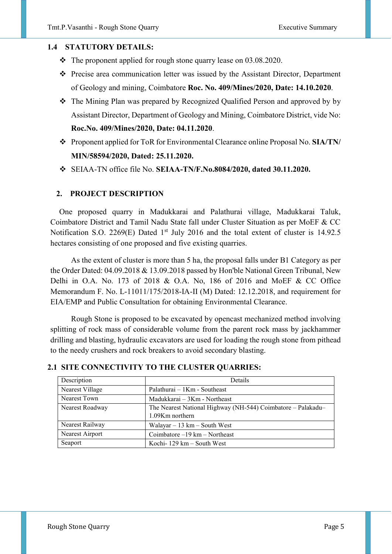#### **1.4 STATUTORY DETAILS:**

- \* The proponent applied for rough stone quarry lease on 03.08.2020.
- Precise area communication letter was issued by the Assistant Director, Department of Geology and mining, Coimbatore **Roc. No. 409/Mines/2020, Date: 14.10.2020**.
- The Mining Plan was prepared by Recognized Qualified Person and approved by by Assistant Director, Department of Geology and Mining, Coimbatore District, vide No: **Roc.No. 409/Mines/2020, Date: 04.11.2020**.
- Proponent applied for ToR for Environmental Clearance online Proposal No. **SIA/TN/ MIN/58594/2020, Dated: 25.11.2020.**
- SEIAA-TN office file No. **SEIAA-TN/F.No.8084/2020, dated 30.11.2020.**

#### **2. PROJECT DESCRIPTION**

One proposed quarry in Madukkarai and Palathurai village, Madukkarai Taluk, Coimbatore District and Tamil Nadu State fall under Cluster Situation as per MoEF & CC Notification S.O. 2269(E) Dated 1<sup>st</sup> July 2016 and the total extent of cluster is 14.92.5 hectares consisting of one proposed and five existing quarries.

 As the extent of cluster is more than 5 ha, the proposal falls under B1 Category as per the Order Dated: 04.09.2018 & 13.09.2018 passed by Hon'ble National Green Tribunal, New Delhi in O.A. No. 173 of 2018 & O.A. No, 186 of 2016 and MoEF & CC Office Memorandum F. No. L-11011/175/2018-IA-II (M) Dated: 12.12.2018, and requirement for EIA/EMP and Public Consultation for obtaining Environmental Clearance.

 Rough Stone is proposed to be excavated by opencast mechanized method involving splitting of rock mass of considerable volume from the parent rock mass by jackhammer drilling and blasting, hydraulic excavators are used for loading the rough stone from pithead to the needy crushers and rock breakers to avoid secondary blasting.

| Description     | Details                                                      |
|-----------------|--------------------------------------------------------------|
| Nearest Village | Palathurai $-1$ Km - Southeast                               |
| Nearest Town    | Madukkarai - 3Km - Northeast                                 |
| Nearest Roadway | The Nearest National Highway (NH-544) Coimbatore – Palakadu– |
|                 | $1.09$ Km northern                                           |
| Nearest Railway | Walayar $-13$ km $-$ South West                              |
| Nearest Airport | Coimbatore $-19$ km $-$ Northeast                            |
| Seaport         | Kochi- $129 \text{ km} - \text{South West}$                  |

#### **2.1 SITE CONNECTIVITY TO THE CLUSTER QUARRIES:**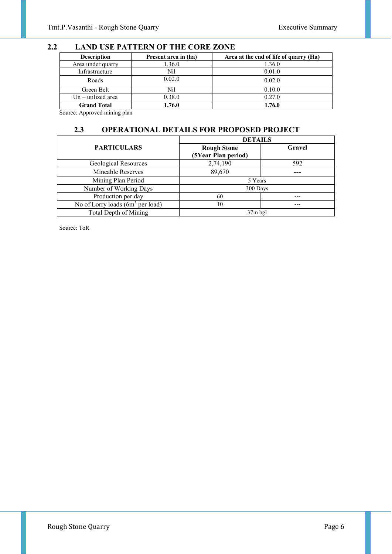## **2.2 LAND USE PATTERN OF THE CORE ZONE**

| <b>Description</b>   | Present area in (ha) | Area at the end of life of quarry (Ha) |
|----------------------|----------------------|----------------------------------------|
| Area under quarry    | 1.36.0               | 1.36.0                                 |
| Infrastructure       | Nil                  | 0.01.0                                 |
| Roads                | 0.02.0               | 0.02.0                                 |
| Green Belt           | Nil                  | 0.10.0                                 |
| $Un - utilized area$ | 0.38.0               | 0.27.0                                 |
| <b>Grand Total</b>   | 1.76.0               | 1.76.0                                 |

Source: Approved mining plan

## **2.3 OPERATIONAL DETAILS FOR PROPOSED PROJECT**

|                                     | <b>DETAILS</b>                            |        |  |
|-------------------------------------|-------------------------------------------|--------|--|
| <b>PARTICULARS</b>                  | <b>Rough Stone</b><br>(5Year Plan period) | Gravel |  |
| Geological Resources                | 2,74,190                                  | 592    |  |
| Mineable Reserves                   | 89,670                                    |        |  |
| Mining Plan Period                  | 5 Years                                   |        |  |
| Number of Working Days              | 300 Days                                  |        |  |
| Production per day                  | 60                                        |        |  |
| No of Lorry loads $(6m^3$ per load) | 10                                        |        |  |
| Total Depth of Mining               | $37m$ bgl                                 |        |  |

Source: ToR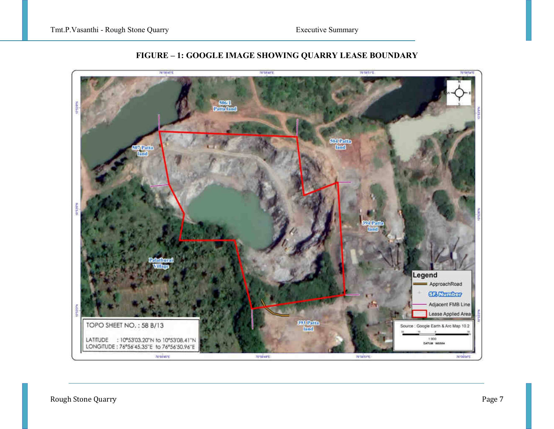

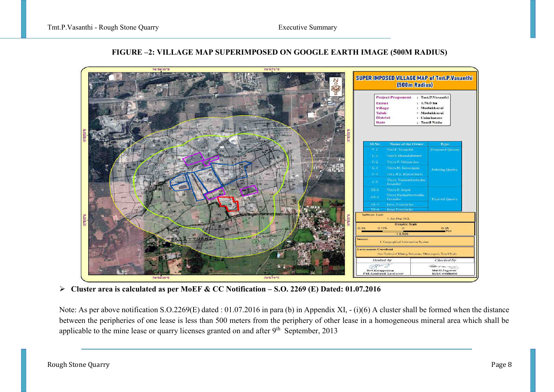

## **FIGURE –2: VILLAGE MAP SUPERIMPOSED ON GOOGLE EARTH IMAGE (500M RADIUS)**

**Cluster area is calculated as per MoEF & CC Notification – S.O. 2269 (E) Dated: 01.07.2016** 

Note: As per above notification S.O.2269(E) dated : 01.07.2016 in para (b) in Appendix XI, - (i)(6) A cluster shall be formed when the distance between the peripheries of one lease is less than 500 meters from the periphery of other lease in a homogeneous mineral area which shall be applicable to the mine lease or quarry licenses granted on and after 9<sup>th</sup> September, 2013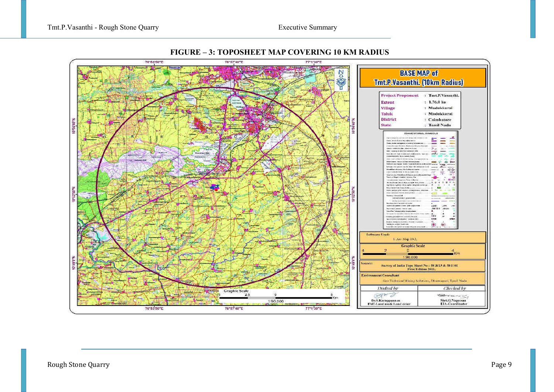

#### **FIGURE – 3: TOPOSHEET MAP COVERING 10 KM RADIUS**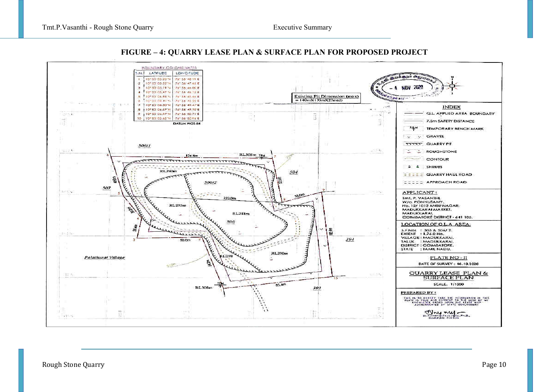

#### **FIGURE – 4: QUARRY LEASE PLAN & SURFACE PLAN FOR PROPOSED PROJECT**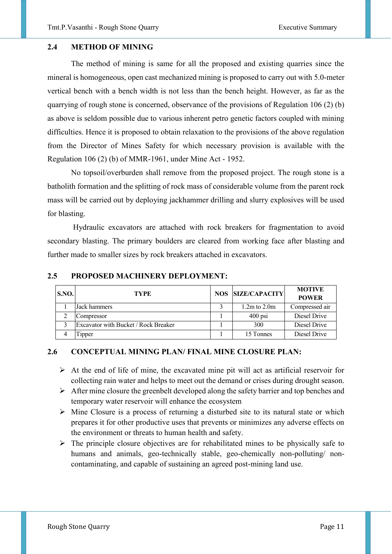#### **2.4 METHOD OF MINING**

The method of mining is same for all the proposed and existing quarries since the mineral is homogeneous, open cast mechanized mining is proposed to carry out with 5.0-meter vertical bench with a bench width is not less than the bench height. However, as far as the quarrying of rough stone is concerned, observance of the provisions of Regulation 106 (2) (b) as above is seldom possible due to various inherent petro genetic factors coupled with mining difficulties. Hence it is proposed to obtain relaxation to the provisions of the above regulation from the Director of Mines Safety for which necessary provision is available with the Regulation 106 (2) (b) of MMR-1961, under Mine Act - 1952.

No topsoil/overburden shall remove from the proposed project. The rough stone is a batholith formation and the splitting of rock mass of considerable volume from the parent rock mass will be carried out by deploying jackhammer drilling and slurry explosives will be used for blasting.

 Hydraulic excavators are attached with rock breakers for fragmentation to avoid secondary blasting. The primary boulders are cleared from working face after blasting and further made to smaller sizes by rock breakers attached in excavators.

| <b>S.NO.</b> | <b>TYPE</b>                          |  | <b>NOS SIZE/CAPACITY</b> | <b>MOTIVE</b><br><b>POWER</b> |
|--------------|--------------------------------------|--|--------------------------|-------------------------------|
|              | Jack hammers                         |  | $1.2m$ to $2.0m$         | Compressed air                |
|              | Compressor                           |  | $400$ psi                | Diesel Drive                  |
|              | Excavator with Bucket / Rock Breaker |  | 300                      | Diesel Drive                  |
|              | ipper                                |  | 15 Tonnes                | Diesel Drive                  |

#### **2.5 PROPOSED MACHINERY DEPLOYMENT:**

#### **2.6 CONCEPTUAL MINING PLAN/ FINAL MINE CLOSURE PLAN:**

- $\triangleright$  At the end of life of mine, the excavated mine pit will act as artificial reservoir for collecting rain water and helps to meet out the demand or crises during drought season.
- $\triangleright$  After mine closure the greenbelt developed along the safety barrier and top benches and temporary water reservoir will enhance the ecosystem
- $\triangleright$  Mine Closure is a process of returning a disturbed site to its natural state or which prepares it for other productive uses that prevents or minimizes any adverse effects on the environment or threats to human health and safety.
- $\triangleright$  The principle closure objectives are for rehabilitated mines to be physically safe to humans and animals, geo-technically stable, geo-chemically non-polluting/ noncontaminating, and capable of sustaining an agreed post-mining land use.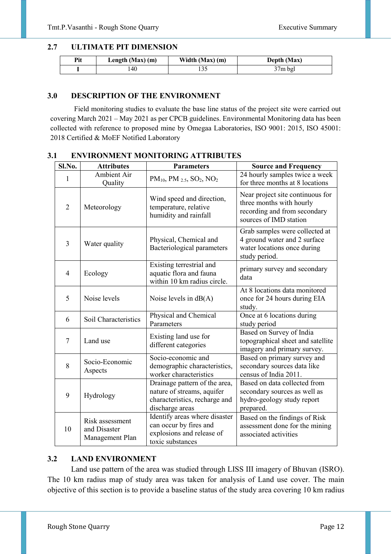## **2.7 ULTIMATE PIT DIMENSION**

| Pit | Length $(Max)$ (m) | Width $(Max)$ (m) | Depth (Max) |
|-----|--------------------|-------------------|-------------|
|     | 40                 |                   | 37m bgl     |

## **3.0 DESCRIPTION OF THE ENVIRONMENT**

Field monitoring studies to evaluate the base line status of the project site were carried out covering March 2021 – May 2021 as per CPCB guidelines. Environmental Monitoring data has been collected with reference to proposed mine by Omegaa Laboratories, ISO 9001: 2015, ISO 45001: 2018 Certified & MoEF Notified Laboratory

| Sl.No.         | <b>Attributes</b>                                  | <b>Parameters</b>                                                                                               | <b>Source and Frequency</b>                                                                                            |
|----------------|----------------------------------------------------|-----------------------------------------------------------------------------------------------------------------|------------------------------------------------------------------------------------------------------------------------|
| 1              | <b>Ambient Air</b><br>Quality                      | $PM_{10}$ , PM $_{2.5}$ , SO <sub>2</sub> , NO <sub>2</sub>                                                     | 24 hourly samples twice a week<br>for three months at 8 locations                                                      |
| $\overline{2}$ | Meteorology                                        | Wind speed and direction,<br>temperature, relative<br>humidity and rainfall                                     | Near project site continuous for<br>three months with hourly<br>recording and from secondary<br>sources of IMD station |
| 3              | Water quality                                      | Physical, Chemical and<br>Bacteriological parameters                                                            | Grab samples were collected at<br>4 ground water and 2 surface<br>water locations once during<br>study period.         |
| $\overline{4}$ | Ecology                                            | Existing terrestrial and<br>aquatic flora and fauna<br>within 10 km radius circle.                              | primary survey and secondary<br>data                                                                                   |
| 5              | Noise levels                                       | Noise levels in $dB(A)$                                                                                         | At 8 locations data monitored<br>once for 24 hours during EIA<br>study.                                                |
| 6              | Soil Characteristics                               | Physical and Chemical<br>Parameters                                                                             | Once at 6 locations during<br>study period                                                                             |
| $\tau$         | Land use                                           | Existing land use for<br>different categories                                                                   | Based on Survey of India<br>topographical sheet and satellite<br>imagery and primary survey.                           |
| 8              | Socio-Economic<br>Aspects                          | Socio-economic and<br>demographic characteristics,<br>worker characteristics                                    | Based on primary survey and<br>secondary sources data like<br>census of India 2011.                                    |
| 9              | Hydrology                                          | Drainage pattern of the area,<br>nature of streams, aquifer<br>characteristics, recharge and<br>discharge areas | Based on data collected from<br>secondary sources as well as<br>hydro-geology study report<br>prepared.                |
| 10             | Risk assessment<br>and Disaster<br>Management Plan | Identify areas where disaster<br>can occur by fires and<br>explosions and release of<br>toxic substances        | Based on the findings of Risk<br>assessment done for the mining<br>associated activities                               |

## **3.1 ENVIRONMENT MONITORING ATTRIBUTES**

## **3.2 LAND ENVIRONMENT**

Land use pattern of the area was studied through LISS III imagery of Bhuvan (ISRO). The 10 km radius map of study area was taken for analysis of Land use cover. The main objective of this section is to provide a baseline status of the study area covering 10 km radius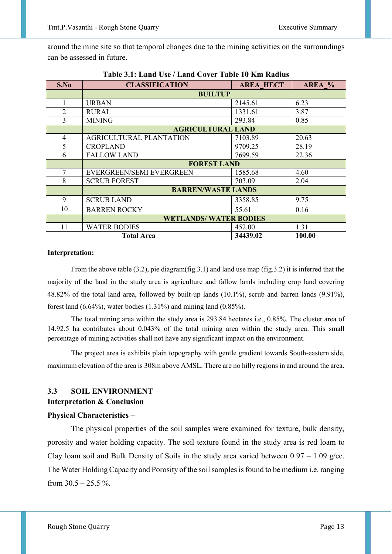around the mine site so that temporal changes due to the mining activities on the surroundings can be assessed in future.

| S.No           | <b>CLASSIFICATION</b>                   | AREA %  |       |  |  |  |
|----------------|-----------------------------------------|---------|-------|--|--|--|
|                | <b>BUILTUP</b>                          |         |       |  |  |  |
| 1              | <b>URBAN</b>                            | 2145.61 | 6.23  |  |  |  |
| $\overline{2}$ | <b>RURAL</b>                            | 1331.61 | 3.87  |  |  |  |
| 3              | <b>MINING</b>                           | 293.84  | 0.85  |  |  |  |
|                | <b>AGRICULTURAL LAND</b>                |         |       |  |  |  |
| 4              | <b>AGRICULTURAL PLANTATION</b>          | 7103.89 | 20.63 |  |  |  |
| 5              | <b>CROPLAND</b>                         | 9709.25 | 28.19 |  |  |  |
| 6              | <b>FALLOW LAND</b>                      | 7699.59 | 22.36 |  |  |  |
|                | <b>FOREST LAND</b>                      |         |       |  |  |  |
| 7              | EVERGREEN/SEMI EVERGREEN                | 1585.68 | 4.60  |  |  |  |
| 8              | <b>SCRUB FOREST</b>                     | 703.09  | 2.04  |  |  |  |
|                | <b>BARREN/WASTE LANDS</b>               |         |       |  |  |  |
| 9              | <b>SCRUB LAND</b>                       | 3358.85 | 9.75  |  |  |  |
| 10             | <b>BARREN ROCKY</b>                     | 55.61   | 0.16  |  |  |  |
|                | <b>WETLANDS/ WATER BODIES</b>           |         |       |  |  |  |
| 11             | <b>WATER BODIES</b>                     | 452.00  | 1.31  |  |  |  |
|                | 34439.02<br>100.00<br><b>Total Area</b> |         |       |  |  |  |

**Table 3.1: Land Use / Land Cover Table 10 Km Radius** 

#### **Interpretation:**

From the above table (3.2), pie diagram(fig.3.1) and land use map (fig.3.2) it is inferred that the majority of the land in the study area is agriculture and fallow lands including crop land covering 48.82% of the total land area, followed by built-up lands (10.1%), scrub and barren lands (9.91%), forest land (6.64%), water bodies (1.31%) and mining land (0.85%).

 The total mining area within the study area is 293.84 hectares i.e., 0.85%. The cluster area of 14.92.5 ha contributes about 0.043% of the total mining area within the study area. This small percentage of mining activities shall not have any significant impact on the environment.

The project area is exhibits plain topography with gentle gradient towards South-eastern side, maximum elevation of the area is 308m above AMSL. There are no hilly regions in and around the area.

## **3.3 SOIL ENVIRONMENT**

#### **Interpretation & Conclusion**

## **Physical Characteristics –**

The physical properties of the soil samples were examined for texture, bulk density, porosity and water holding capacity. The soil texture found in the study area is red loam to Clay loam soil and Bulk Density of Soils in the study area varied between  $0.97 - 1.09$  g/cc. The Water Holding Capacity and Porosity of the soil samples is found to be medium i.e. ranging from  $30.5 - 25.5$  %.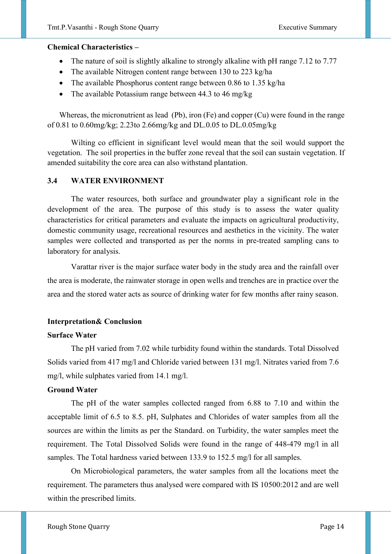#### **Chemical Characteristics –**

- The nature of soil is slightly alkaline to strongly alkaline with pH range 7.12 to 7.77
- The available Nitrogen content range between 130 to 223 kg/ha
- The available Phosphorus content range between 0.86 to 1.35 kg/ha
- The available Potassium range between 44.3 to 46 mg/kg

Whereas, the micronutrient as lead (Pb), iron (Fe) and copper (Cu) were found in the range of 0.81 to 0.60mg/kg; 2.23to 2.66mg/kg and DL.0.05 to DL.0.05mg/kg

 Wilting co efficient in significant level would mean that the soil would support the vegetation. The soil properties in the buffer zone reveal that the soil can sustain vegetation. If amended suitability the core area can also withstand plantation.

#### **3.4 WATER ENVIRONMENT**

The water resources, both surface and groundwater play a significant role in the development of the area. The purpose of this study is to assess the water quality characteristics for critical parameters and evaluate the impacts on agricultural productivity, domestic community usage, recreational resources and aesthetics in the vicinity. The water samples were collected and transported as per the norms in pre-treated sampling cans to laboratory for analysis.

Varattar river is the major surface water body in the study area and the rainfall over the area is moderate, the rainwater storage in open wells and trenches are in practice over the area and the stored water acts as source of drinking water for few months after rainy season.

#### **Interpretation& Conclusion**

#### **Surface Water**

The pH varied from 7.02 while turbidity found within the standards. Total Dissolved Solids varied from 417 mg/l and Chloride varied between 131 mg/l. Nitrates varied from 7.6 mg/l, while sulphates varied from 14.1 mg/l.

#### **Ground Water**

The pH of the water samples collected ranged from 6.88 to 7.10 and within the acceptable limit of 6.5 to 8.5. pH, Sulphates and Chlorides of water samples from all the sources are within the limits as per the Standard. on Turbidity, the water samples meet the requirement. The Total Dissolved Solids were found in the range of 448-479 mg/l in all samples. The Total hardness varied between 133.9 to 152.5 mg/l for all samples.

On Microbiological parameters, the water samples from all the locations meet the requirement. The parameters thus analysed were compared with IS 10500:2012 and are well within the prescribed limits.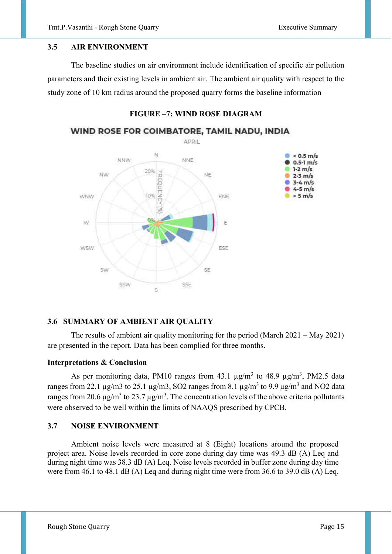#### **3.5 AIR ENVIRONMENT**

The baseline studies on air environment include identification of specific air pollution parameters and their existing levels in ambient air. The ambient air quality with respect to the study zone of 10 km radius around the proposed quarry forms the baseline information



## **FIGURE –7: WIND ROSE DIAGRAM**

#### **3.6 SUMMARY OF AMBIENT AIR QUALITY**

The results of ambient air quality monitoring for the period (March 2021 – May 2021) are presented in the report. Data has been complied for three months.

#### **Interpretations & Conclusion**

As per monitoring data, PM10 ranges from  $43.1 \text{ µg/m}^3$  to  $48.9 \text{ µg/m}^3$ , PM2.5 data ranges from 22.1  $\mu$ g/m3 to 25.1  $\mu$ g/m3, SO2 ranges from 8.1  $\mu$ g/m<sup>3</sup> to 9.9  $\mu$ g/m<sup>3</sup> and NO2 data ranges from 20.6  $\mu$ g/m<sup>3</sup> to 23.7  $\mu$ g/m<sup>3</sup>. The concentration levels of the above criteria pollutants were observed to be well within the limits of NAAQS prescribed by CPCB.

#### **3.7 NOISE ENVIRONMENT**

Ambient noise levels were measured at 8 (Eight) locations around the proposed project area. Noise levels recorded in core zone during day time was 49.3 dB (A) Leq and during night time was 38.3 dB (A) Leq. Noise levels recorded in buffer zone during day time were from 46.1 to 48.1 dB (A) Leq and during night time were from 36.6 to 39.0 dB (A) Leq.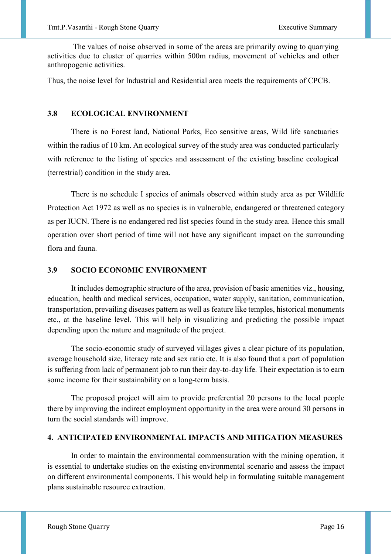The values of noise observed in some of the areas are primarily owing to quarrying activities due to cluster of quarries within 500m radius, movement of vehicles and other anthropogenic activities.

Thus, the noise level for Industrial and Residential area meets the requirements of CPCB.

#### **3.8 ECOLOGICAL ENVIRONMENT**

There is no Forest land, National Parks, Eco sensitive areas, Wild life sanctuaries within the radius of 10 km. An ecological survey of the study area was conducted particularly with reference to the listing of species and assessment of the existing baseline ecological (terrestrial) condition in the study area.

There is no schedule I species of animals observed within study area as per Wildlife Protection Act 1972 as well as no species is in vulnerable, endangered or threatened category as per IUCN. There is no endangered red list species found in the study area. Hence this small operation over short period of time will not have any significant impact on the surrounding flora and fauna.

#### **3.9 SOCIO ECONOMIC ENVIRONMENT**

It includes demographic structure of the area, provision of basic amenities viz., housing, education, health and medical services, occupation, water supply, sanitation, communication, transportation, prevailing diseases pattern as well as feature like temples, historical monuments etc., at the baseline level. This will help in visualizing and predicting the possible impact depending upon the nature and magnitude of the project.

The socio-economic study of surveyed villages gives a clear picture of its population, average household size, literacy rate and sex ratio etc. It is also found that a part of population is suffering from lack of permanent job to run their day-to-day life. Their expectation is to earn some income for their sustainability on a long-term basis.

The proposed project will aim to provide preferential 20 persons to the local people there by improving the indirect employment opportunity in the area were around 30 persons in turn the social standards will improve.

#### **4. ANTICIPATED ENVIRONMENTAL IMPACTS AND MITIGATION MEASURES**

In order to maintain the environmental commensuration with the mining operation, it is essential to undertake studies on the existing environmental scenario and assess the impact on different environmental components. This would help in formulating suitable management plans sustainable resource extraction.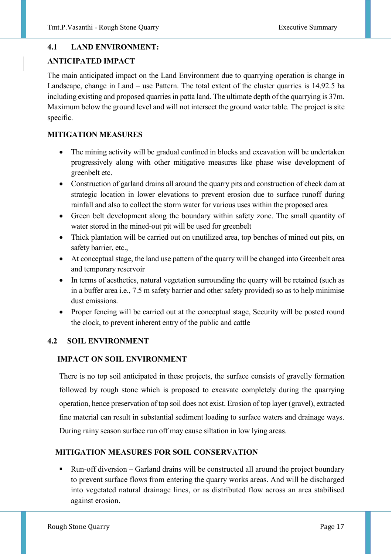## **4.1 LAND ENVIRONMENT:**

## **ANTICIPATED IMPACT**

The main anticipated impact on the Land Environment due to quarrying operation is change in Landscape, change in Land – use Pattern. The total extent of the cluster quarries is 14.92.5 ha including existing and proposed quarries in patta land. The ultimate depth of the quarrying is 37m. Maximum below the ground level and will not intersect the ground water table. The project is site specific.

## **MITIGATION MEASURES**

- The mining activity will be gradual confined in blocks and excavation will be undertaken progressively along with other mitigative measures like phase wise development of greenbelt etc.
- Construction of garland drains all around the quarry pits and construction of check dam at strategic location in lower elevations to prevent erosion due to surface runoff during rainfall and also to collect the storm water for various uses within the proposed area
- Green belt development along the boundary within safety zone. The small quantity of water stored in the mined-out pit will be used for greenbelt
- Thick plantation will be carried out on unutilized area, top benches of mined out pits, on safety barrier, etc.,
- At conceptual stage, the land use pattern of the quarry will be changed into Greenbelt area and temporary reservoir
- In terms of aesthetics, natural vegetation surrounding the quarry will be retained (such as in a buffer area i.e., 7.5 m safety barrier and other safety provided) so as to help minimise dust emissions.
- Proper fencing will be carried out at the conceptual stage, Security will be posted round the clock, to prevent inherent entry of the public and cattle

## **4.2 SOIL ENVIRONMENT**

## **IMPACT ON SOIL ENVIRONMENT**

There is no top soil anticipated in these projects, the surface consists of gravelly formation followed by rough stone which is proposed to excavate completely during the quarrying operation, hence preservation of top soil does not exist. Erosion of top layer (gravel), extracted fine material can result in substantial sediment loading to surface waters and drainage ways. During rainy season surface run off may cause siltation in low lying areas.

## **MITIGATION MEASURES FOR SOIL CONSERVATION**

 Run-off diversion – Garland drains will be constructed all around the project boundary to prevent surface flows from entering the quarry works areas. And will be discharged into vegetated natural drainage lines, or as distributed flow across an area stabilised against erosion.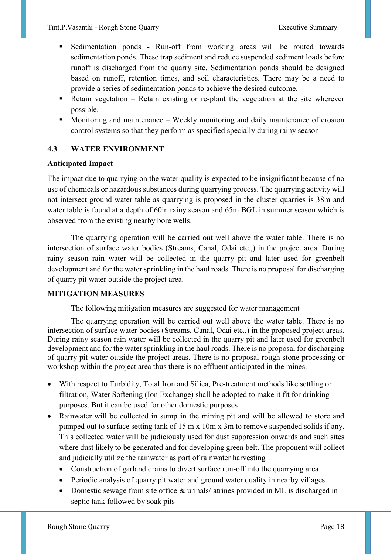- Sedimentation ponds Run-off from working areas will be routed towards sedimentation ponds. These trap sediment and reduce suspended sediment loads before runoff is discharged from the quarry site. Sedimentation ponds should be designed based on runoff, retention times, and soil characteristics. There may be a need to provide a series of sedimentation ponds to achieve the desired outcome.
- Retain vegetation Retain existing or re-plant the vegetation at the site wherever possible.
- Monitoring and maintenance Weekly monitoring and daily maintenance of erosion control systems so that they perform as specified specially during rainy season

## **4.3 WATER ENVIRONMENT**

## **Anticipated Impact**

The impact due to quarrying on the water quality is expected to be insignificant because of no use of chemicals or hazardous substances during quarrying process. The quarrying activity will not intersect ground water table as quarrying is proposed in the cluster quarries is 38m and water table is found at a depth of 60in rainy season and 65m BGL in summer season which is observed from the existing nearby bore wells.

 The quarrying operation will be carried out well above the water table. There is no intersection of surface water bodies (Streams, Canal, Odai etc.,) in the project area. During rainy season rain water will be collected in the quarry pit and later used for greenbelt development and for the water sprinkling in the haul roads. There is no proposal for discharging of quarry pit water outside the project area.

## **MITIGATION MEASURES**

The following mitigation measures are suggested for water management

 The quarrying operation will be carried out well above the water table. There is no intersection of surface water bodies (Streams, Canal, Odai etc.,) in the proposed project areas. During rainy season rain water will be collected in the quarry pit and later used for greenbelt development and for the water sprinkling in the haul roads. There is no proposal for discharging of quarry pit water outside the project areas. There is no proposal rough stone processing or workshop within the project area thus there is no effluent anticipated in the mines.

- With respect to Turbidity, Total Iron and Silica, Pre-treatment methods like settling or filtration, Water Softening (Ion Exchange) shall be adopted to make it fit for drinking purposes. But it can be used for other domestic purposes
- Rainwater will be collected in sump in the mining pit and will be allowed to store and pumped out to surface setting tank of 15 m x 10m x 3m to remove suspended solids if any. This collected water will be judiciously used for dust suppression onwards and such sites where dust likely to be generated and for developing green belt. The proponent will collect and judicially utilize the rainwater as part of rainwater harvesting
	- Construction of garland drains to divert surface run-off into the quarrying area
	- Periodic analysis of quarry pit water and ground water quality in nearby villages
	- Domestic sewage from site office & urinals/latrines provided in ML is discharged in septic tank followed by soak pits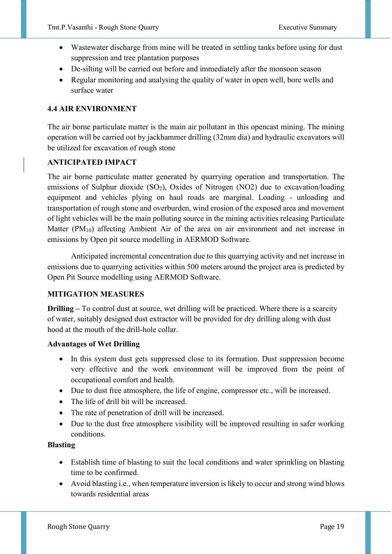- Wastewater discharge from mine will be treated in settling tanks before using for dust suppression and tree plantation purposes
- De-silting will be carried out before and immediately after the monsoon season
- Regular monitoring and analysing the quality of water in open well, bore wells and surface water

## **4.4 AIR ENVIRONMENT**

The air borne particulate matter is the main air pollutant in this opencast mining. The mining operation will be carried out by jackhammer drilling (32mm dia) and hydraulic excavators will be utilized for excavation of rough stone

## **ANTICIPATED IMPACT**

The air borne particulate matter generated by quarrying operation and transportation. The emissions of Sulphur dioxide (SO<sub>2</sub>), Oxides of Nitrogen (NO2) due to excavation/loading equipment and vehicles plying on haul roads are marginal. Loading - unloading and transportation of rough stone and overburden, wind erosion of the exposed area and movement of light vehicles will be the main polluting source in the mining activities releasing Particulate Matter  $(PM_{10})$  affecting Ambient Air of the area on air environment and net increase in emissions by Open pit source modelling in AERMOD Software.

Anticipated incremental concentration due to this quarrying activity and net increase in emissions due to quarrying activities within 500 meters around the project area is predicted by Open Pit Source modelling using AERMOD Software.

## **MITIGATION MEASURES**

**Drilling –** To control dust at source, wet drilling will be practiced. Where there is a scarcity of water, suitably designed dust extractor will be provided for dry drilling along with dust hood at the mouth of the drill-hole collar.

#### **Advantages of Wet Drilling**

- In this system dust gets suppressed close to its formation. Dust suppression become very effective and the work environment will be improved from the point of occupational comfort and health.
- Due to dust free atmosphere, the life of engine, compressor etc., will be increased.
- The life of drill bit will be increased.
- The rate of penetration of drill will be increased.
- Due to the dust free atmosphere visibility will be improved resulting in safer working conditions.

#### **Blasting**

- Establish time of blasting to suit the local conditions and water sprinkling on blasting time to be confirmed.
- Avoid blasting i.e., when temperature inversion is likely to occur and strong wind blows towards residential areas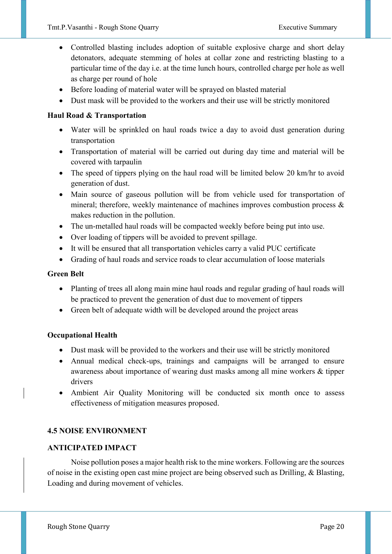- Controlled blasting includes adoption of suitable explosive charge and short delay detonators, adequate stemming of holes at collar zone and restricting blasting to a particular time of the day i.e. at the time lunch hours, controlled charge per hole as well as charge per round of hole
- Before loading of material water will be sprayed on blasted material
- Dust mask will be provided to the workers and their use will be strictly monitored

#### **Haul Road & Transportation**

- Water will be sprinkled on haul roads twice a day to avoid dust generation during transportation
- Transportation of material will be carried out during day time and material will be covered with tarpaulin
- The speed of tippers plying on the haul road will be limited below 20 km/hr to avoid generation of dust.
- Main source of gaseous pollution will be from vehicle used for transportation of mineral; therefore, weekly maintenance of machines improves combustion process & makes reduction in the pollution.
- The un-metalled haul roads will be compacted weekly before being put into use.
- Over loading of tippers will be avoided to prevent spillage.
- It will be ensured that all transportation vehicles carry a valid PUC certificate
- Grading of haul roads and service roads to clear accumulation of loose materials

#### **Green Belt**

- Planting of trees all along main mine haul roads and regular grading of haul roads will be practiced to prevent the generation of dust due to movement of tippers
- Green belt of adequate width will be developed around the project areas

#### **Occupational Health**

- Dust mask will be provided to the workers and their use will be strictly monitored
- Annual medical check-ups, trainings and campaigns will be arranged to ensure awareness about importance of wearing dust masks among all mine workers & tipper drivers
- Ambient Air Quality Monitoring will be conducted six month once to assess effectiveness of mitigation measures proposed.

#### **4.5 NOISE ENVIRONMENT**

#### **ANTICIPATED IMPACT**

Noise pollution poses a major health risk to the mine workers. Following are the sources of noise in the existing open cast mine project are being observed such as Drilling, & Blasting, Loading and during movement of vehicles.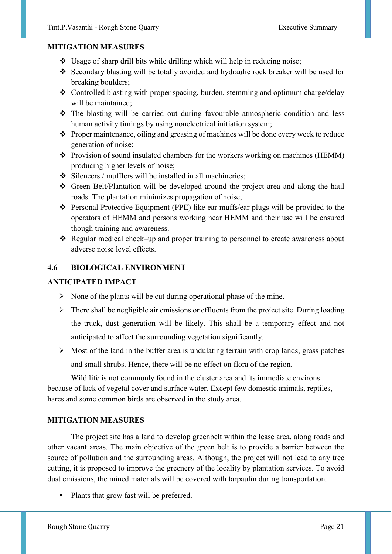## **MITIGATION MEASURES**

- Usage of sharp drill bits while drilling which will help in reducing noise;
- Secondary blasting will be totally avoided and hydraulic rock breaker will be used for breaking boulders;
- Controlled blasting with proper spacing, burden, stemming and optimum charge/delay will be maintained;
- The blasting will be carried out during favourable atmospheric condition and less human activity timings by using nonelectrical initiation system;
- \* Proper maintenance, oiling and greasing of machines will be done every week to reduce generation of noise;
- \* Provision of sound insulated chambers for the workers working on machines (HEMM) producing higher levels of noise;
- $\div$  Silencers / mufflers will be installed in all machineries;
- Green Belt/Plantation will be developed around the project area and along the haul roads. The plantation minimizes propagation of noise;
- Personal Protective Equipment (PPE) like ear muffs/ear plugs will be provided to the operators of HEMM and persons working near HEMM and their use will be ensured though training and awareness.
- Regular medical check–up and proper training to personnel to create awareness about adverse noise level effects.

## **4.6 BIOLOGICAL ENVIRONMENT**

## **ANTICIPATED IMPACT**

- $\triangleright$  None of the plants will be cut during operational phase of the mine.
- $\triangleright$  There shall be negligible air emissions or effluents from the project site. During loading the truck, dust generation will be likely. This shall be a temporary effect and not anticipated to affect the surrounding vegetation significantly.
- $\triangleright$  Most of the land in the buffer area is undulating terrain with crop lands, grass patches and small shrubs. Hence, there will be no effect on flora of the region.

Wild life is not commonly found in the cluster area and its immediate environs because of lack of vegetal cover and surface water. Except few domestic animals, reptiles, hares and some common birds are observed in the study area.

#### **MITIGATION MEASURES**

The project site has a land to develop greenbelt within the lease area, along roads and other vacant areas. The main objective of the green belt is to provide a barrier between the source of pollution and the surrounding areas. Although, the project will not lead to any tree cutting, it is proposed to improve the greenery of the locality by plantation services. To avoid dust emissions, the mined materials will be covered with tarpaulin during transportation.

• Plants that grow fast will be preferred.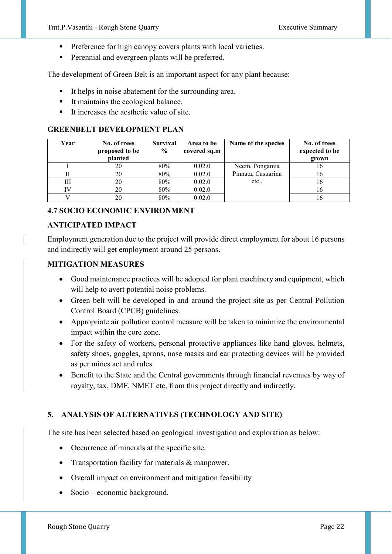- Preference for high canopy covers plants with local varieties.
- **Perennial and evergreen plants will be preferred.**

The development of Green Belt is an important aspect for any plant because:

- It helps in noise abatement for the surrounding area.
- $\blacksquare$  It maintains the ecological balance.
- $\blacksquare$  It increases the aesthetic value of site.

## **GREENBELT DEVELOPMENT PLAN**

| Year | No. of trees<br>proposed to be<br>planted | <b>Survival</b><br>$\frac{0}{0}$ | Area to be<br>covered sq.m | Name of the species | No. of trees<br>expected to be<br>grown |
|------|-------------------------------------------|----------------------------------|----------------------------|---------------------|-----------------------------------------|
|      | 20                                        | 80%                              | 0.02.0                     | Neem, Pongamia      | 16                                      |
|      | 20                                        | 80%                              | 0.02.0                     | Pinnata, Casuarina  | 16                                      |
| Ш    | 20                                        | 80%                              | 0.02.0                     | etc.,               | 16                                      |
| IV   | 20                                        | 80%                              | 0.02.0                     |                     | 16                                      |
|      | 20                                        | 80%                              | 0.02.0                     |                     | 16                                      |

## **4.7 SOCIO ECONOMIC ENVIRONMENT**

#### **ANTICIPATED IMPACT**

Employment generation due to the project will provide direct employment for about 16 persons and indirectly will get employment around 25 persons.

#### **MITIGATION MEASURES**

- Good maintenance practices will be adopted for plant machinery and equipment, which will help to avert potential noise problems.
- Green belt will be developed in and around the project site as per Central Pollution Control Board (CPCB) guidelines.
- Appropriate air pollution control measure will be taken to minimize the environmental impact within the core zone.
- For the safety of workers, personal protective appliances like hand gloves, helmets, safety shoes, goggles, aprons, nose masks and ear protecting devices will be provided as per mines act and rules.
- Benefit to the State and the Central governments through financial revenues by way of royalty, tax, DMF, NMET etc, from this project directly and indirectly.

## **5. ANALYSIS OF ALTERNATIVES (TECHNOLOGY AND SITE)**

The site has been selected based on geological investigation and exploration as below:

- Occurrence of minerals at the specific site.
- Transportation facility for materials & manpower.
- Overall impact on environment and mitigation feasibility
- Socio economic background.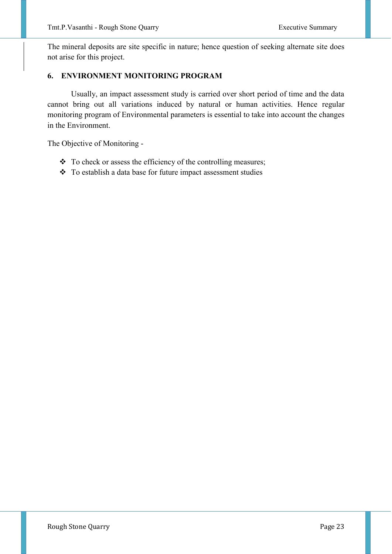The mineral deposits are site specific in nature; hence question of seeking alternate site does not arise for this project.

## **6. ENVIRONMENT MONITORING PROGRAM**

Usually, an impact assessment study is carried over short period of time and the data cannot bring out all variations induced by natural or human activities. Hence regular monitoring program of Environmental parameters is essential to take into account the changes in the Environment.

The Objective of Monitoring -

- \* To check or assess the efficiency of the controlling measures;
- To establish a data base for future impact assessment studies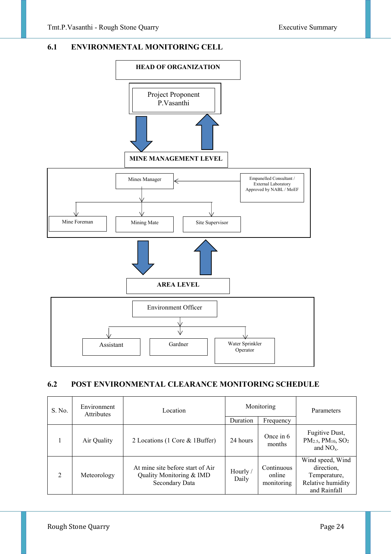#### **6.1 ENVIRONMENTAL MONITORING CELL**



#### **6.2 POST ENVIRONMENTAL CLEARANCE MONITORING SCHEDULE**

| S. No.         | Environment<br><b>Attributes</b> | Location                                                                       | Monitoring<br>Duration |                                    | Parameters                                                                          |
|----------------|----------------------------------|--------------------------------------------------------------------------------|------------------------|------------------------------------|-------------------------------------------------------------------------------------|
|                | Air Quality                      | 2 Locations (1 Core & 1Buffer)                                                 | 24 hours               | Frequency<br>Once in 6<br>months   | Fugitive Dust,<br>$PM_{2.5}$ , $PM_{10}$ , $SO_2$<br>and $NO_{x}$ .                 |
| $\mathfrak{D}$ | Meteorology                      | At mine site before start of Air<br>Quality Monitoring & IMD<br>Secondary Data | Hourly /<br>Daily      | Continuous<br>online<br>monitoring | Wind speed, Wind<br>direction,<br>Temperature,<br>Relative humidity<br>and Rainfall |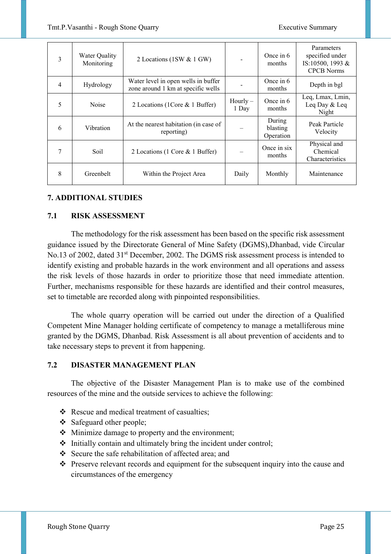| 3              | Water Quality<br>Monitoring | 2 Locations (1SW & 1 GW)                                                  |                     | Once in 6<br>months             | Parameters<br>specified under<br>IS:10500, 1993 &<br><b>CPCB</b> Norms |
|----------------|-----------------------------|---------------------------------------------------------------------------|---------------------|---------------------------------|------------------------------------------------------------------------|
| $\overline{4}$ | Hydrology                   | Water level in open wells in buffer<br>zone around 1 km at specific wells |                     | Once in 6<br>months             | Depth in bgl                                                           |
| 5              | Noise                       | 2 Locations (1 Core & 1 Buffer)                                           | $Hourly -$<br>1 Day | Once in 6<br>months             | Leq, Lmax, Lmin,<br>Leq Day & Leq<br>Night                             |
| 6              | Vibration                   | At the nearest habitation (in case of<br>reporting)                       |                     | During<br>blasting<br>Operation | Peak Particle<br>Velocity                                              |
| 7              | Soil                        | 2 Locations (1 Core & 1 Buffer)                                           |                     | Once in six<br>months           | Physical and<br>Chemical<br>Characteristics                            |
| 8              | Greenbelt                   | Within the Project Area                                                   | Daily               | Monthly                         | Maintenance                                                            |

## **7. ADDITIONAL STUDIES**

## **7.1 RISK ASSESSMENT**

The methodology for the risk assessment has been based on the specific risk assessment guidance issued by the Directorate General of Mine Safety (DGMS),Dhanbad, vide Circular No.13 of 2002, dated 31<sup>st</sup> December, 2002. The DGMS risk assessment process is intended to identify existing and probable hazards in the work environment and all operations and assess the risk levels of those hazards in order to prioritize those that need immediate attention. Further, mechanisms responsible for these hazards are identified and their control measures, set to timetable are recorded along with pinpointed responsibilities.

The whole quarry operation will be carried out under the direction of a Qualified Competent Mine Manager holding certificate of competency to manage a metalliferous mine granted by the DGMS, Dhanbad. Risk Assessment is all about prevention of accidents and to take necessary steps to prevent it from happening.

## **7.2 DISASTER MANAGEMENT PLAN**

 The objective of the Disaster Management Plan is to make use of the combined resources of the mine and the outside services to achieve the following:

- \* Rescue and medical treatment of casualties;
- Safeguard other people;
- Minimize damage to property and the environment;
- $\cdot$  Initially contain and ultimately bring the incident under control;
- Secure the safe rehabilitation of affected area; and
- Preserve relevant records and equipment for the subsequent inquiry into the cause and circumstances of the emergency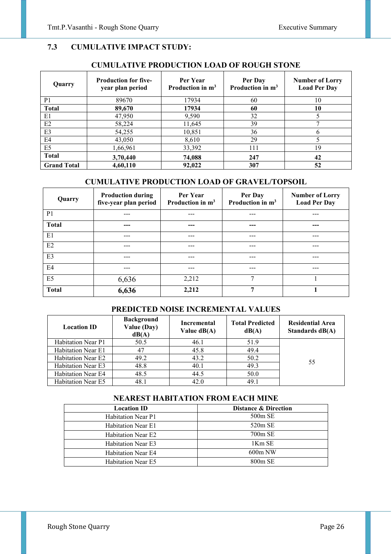## **7.3 CUMULATIVE IMPACT STUDY:**

#### **CUMULATIVE PRODUCTION LOAD OF ROUGH STONE**

| Quarry             | <b>Production for five-</b><br>year plan period | Per Year<br>Production in $m3$ | Per Day<br>Production in $m3$ | <b>Number of Lorry</b><br><b>Load Per Day</b> |
|--------------------|-------------------------------------------------|--------------------------------|-------------------------------|-----------------------------------------------|
| P <sub>1</sub>     | 89670                                           | 17934                          | 60                            | 10                                            |
| <b>Total</b>       | 89,670                                          | 17934                          | 60                            | 10                                            |
| E1                 | 47,950                                          | 9,590                          | 32                            |                                               |
| E2                 | 58,224                                          | 11,645                         | 39                            |                                               |
| E <sub>3</sub>     | 54,255                                          | 10,851                         | 36                            | <sub>(</sub>                                  |
| E <sub>4</sub>     | 43,050                                          | 8,610                          | 29                            |                                               |
| E <sub>5</sub>     | 1,66,961                                        | 33,392                         | 111                           | 19                                            |
| <b>Total</b>       | 3,70,440                                        | 74,088                         | 247                           | 42                                            |
| <b>Grand Total</b> | 4,60,110                                        | 92,022                         | 307                           | 52                                            |

## **CUMULATIVE PRODUCTION LOAD OF GRAVEL/TOPSOIL**

| Quarry         | <b>Production during</b><br>five-year plan period | Per Year<br>Production in $m3$ | Per Day<br>Production in $m3$ | <b>Number of Lorry</b><br><b>Load Per Day</b> |
|----------------|---------------------------------------------------|--------------------------------|-------------------------------|-----------------------------------------------|
| P <sub>1</sub> | ---                                               | ---                            | ---                           | ---                                           |
| <b>Total</b>   | ---                                               | ---                            | ---                           | ---                                           |
| E1             | ---                                               | ---                            | ---                           |                                               |
| E2             | ---                                               | ---                            | ---                           | ---                                           |
| E <sub>3</sub> | ---                                               | ---                            | ---                           | ---                                           |
| E <sub>4</sub> | ---                                               | ---                            | ---                           |                                               |
| E <sub>5</sub> | 6,636                                             | 2,212                          | 7                             |                                               |
| <b>Total</b>   | 6,636                                             | 2,212                          | 7                             |                                               |

## **PREDICTED NOISE INCREMENTAL VALUES**

| <b>Location ID</b>        | <b>Background</b><br>Value (Day)<br>dB(A) | Incremental<br>Value $dB(A)$ | <b>Total Predicted</b><br>dB(A) | <b>Residential Area</b><br>Standards dB(A) |
|---------------------------|-------------------------------------------|------------------------------|---------------------------------|--------------------------------------------|
| Habitation Near P1        | 50.5                                      | 46.1                         | 51.9                            |                                            |
| Habitation Near E1        | 47                                        | 45.8                         | 49.4                            |                                            |
| Habitation Near E2        | 49.2                                      | 43.2                         | 50.2                            | 55                                         |
| <b>Habitation Near E3</b> | 48.8                                      | 40.1                         | 49.3                            |                                            |
| <b>Habitation Near E4</b> | 48.5                                      | 44.5                         | 50.0                            |                                            |
| <b>Habitation Near E5</b> | 48.1                                      | 42.0                         | 49.1                            |                                            |

## **NEAREST HABITATION FROM EACH MINE**

| <b>Location ID</b>        | <b>Distance &amp; Direction</b> |
|---------------------------|---------------------------------|
| <b>Habitation Near P1</b> | $500m$ SE                       |
| Habitation Near E1        | $520m$ SE                       |
| <b>Habitation Near E2</b> | $700m$ SE                       |
| <b>Habitation Near E3</b> | 1Km SE                          |
| <b>Habitation Near E4</b> | $600m$ NW                       |
| <b>Habitation Near E5</b> | $800m$ SE                       |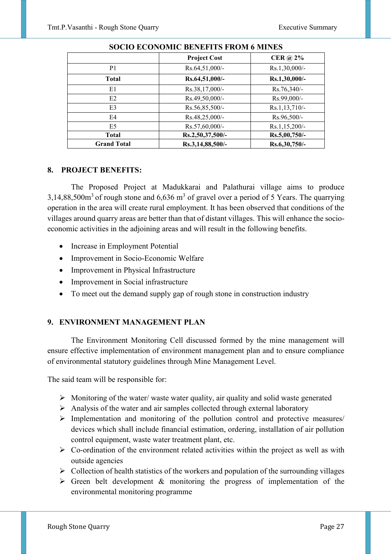|                    | <b>Project Cost</b> | <b>CER</b> @ 2% |
|--------------------|---------------------|-----------------|
| P <sub>1</sub>     | Rs.64,51,000/-      | Rs.1,30,000/-   |
| <b>Total</b>       | Rs.64,51,000/-      | Rs.1,30,000/-   |
| E1                 | Rs.38,17,000/-      | Rs.76,340/-     |
| E2                 | Rs.49,50,000/-      | Rs.99,000/-     |
| E <sub>3</sub>     | $Rs.56,85,500/-$    | Rs.1,13,710/-   |
| E4                 | Rs.48,25,000/-      | $Rs.96,500/-$   |
| E <sub>5</sub>     | Rs.57,60,000/-      | Rs.1,15,200/-   |
| <b>Total</b>       | Rs.2,50,37,500/-    | Rs.5,00,750/-   |
| <b>Grand Total</b> | Rs.3,14,88,500/-    | Rs.6,30,750/-   |

## **SOCIO ECONOMIC BENEFITS FROM 6 MINES**

#### **8. PROJECT BENEFITS:**

The Proposed Project at Madukkarai and Palathurai village aims to produce 3,14,88,500 $\text{m}^3$  of rough stone and 6,636  $\text{m}^3$  of gravel over a period of 5 Years. The quarrying operation in the area will create rural employment. It has been observed that conditions of the villages around quarry areas are better than that of distant villages. This will enhance the socioeconomic activities in the adjoining areas and will result in the following benefits.

- Increase in Employment Potential
- Improvement in Socio-Economic Welfare
- Improvement in Physical Infrastructure
- Improvement in Social infrastructure
- To meet out the demand supply gap of rough stone in construction industry

#### **9. ENVIRONMENT MANAGEMENT PLAN**

The Environment Monitoring Cell discussed formed by the mine management will ensure effective implementation of environment management plan and to ensure compliance of environmental statutory guidelines through Mine Management Level.

The said team will be responsible for:

- $\triangleright$  Monitoring of the water/ waste water quality, air quality and solid waste generated
- $\triangleright$  Analysis of the water and air samples collected through external laboratory
- $\triangleright$  Implementation and monitoring of the pollution control and protective measures/ devices which shall include financial estimation, ordering, installation of air pollution control equipment, waste water treatment plant, etc.
- $\triangleright$  Co-ordination of the environment related activities within the project as well as with outside agencies
- $\triangleright$  Collection of health statistics of the workers and population of the surrounding villages
- $\triangleright$  Green belt development & monitoring the progress of implementation of the environmental monitoring programme